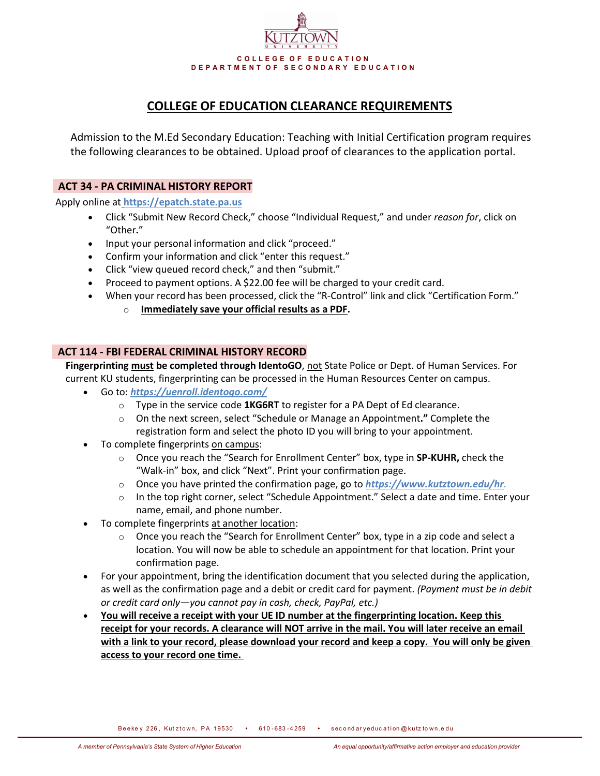

# **COLLEGE OF EDUCATION CLEARANCE REQUIREMENTS**

Admission to the M.Ed Secondary Education: Teaching with Initial Certification program requires the following clearances to be obtained. Upload proof of clearances to the application portal.

# **ACT 34 - PA CRIMINAL HISTORY REPORT**

Apply online at **[https://epatch.state.pa.us](https://epatch.state.pa.us/)**

- Click "Submit New Record Check," choose "Individual Request," and under *reason for*, click on "Other**.**"
- Input your personal information and click "proceed."
- Confirm your information and click "enter this request."
- Click "view queued record check," and then "submit."
- Proceed to payment options. A \$22.00 fee will be charged to your credit card.
- When your record has been processed, click the "R-Control" link and click "Certification Form."
	- o **Immediately save your official results as a PDF.**

# **ACT 114 - FBI FEDERAL CRIMINAL HISTORY RECORD**

**Fingerprinting must be completed through IdentoGO**, not State Police or Dept. of Human Services. For current KU students, fingerprinting can be processed in the Human Resources Center on campus.

- Go to: *<https://uenroll.identogo.com/>*
	- o Type in the service code **1KG6RT** to register for a PA Dept of Ed clearance.
	- o On the next screen, select "Schedule or Manage an Appointment**."** Complete the registration form and select the photo ID you will bring to your appointment.
- To complete fingerprints on campus:
	- o Once you reach the "Search for Enrollment Center" box, type in **SP-KUHR,** check the "Walk-in" box, and click "Next". Print your confirmation page.
	- o Once you have printed the confirmation page, go to *<https://www.kutztown.edu/hr>*.
	- o In the top right corner, select "Schedule Appointment." Select a date and time. Enter your name, email, and phone number.
- To complete fingerprints at another location:
	- $\circ$  Once you reach the "Search for Enrollment Center" box, type in a zip code and select a location. You will now be able to schedule an appointment for that location. Print your confirmation page.
- For your appointment, bring the identification document that you selected during the application, as well as the confirmation page and a debit or credit card for payment. *(Payment must be in debit or credit card only—you cannot pay in cash, check, PayPal, etc.)*
- **You will receive a receipt with your UE ID number at the fingerprinting location. Keep this receipt for your records. A clearance will NOT arrive in the mail. You will later receive an email with a link to your record, please download your record and keep a copy. You will only be given access to your record one time.**